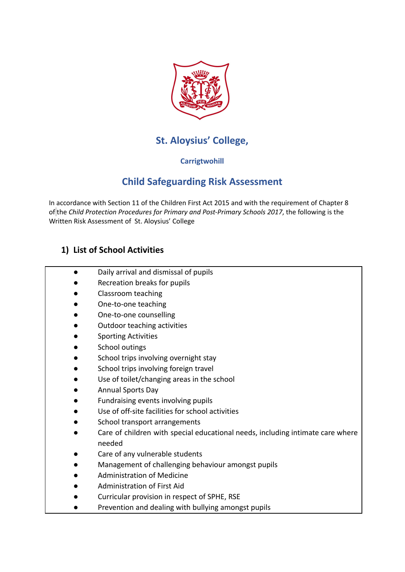

# **St. Aloysius' College,**

#### **Carrigtwohill**

## **Child Safeguarding Risk Assessment**

In accordance with Section 11 of the Children First Act 2015 and with the requirement of Chapter 8 of the *Child Protection Procedures for Primary and Post-Primary Schools 2017*, the following is the Written Risk Assessment of St. Aloysius' College

### **1) List of School Activities**

- Daily arrival and dismissal of pupils
- Recreation breaks for pupils
- Classroom teaching
- One-to-one teaching
- One-to-one counselling
- Outdoor teaching activities
- **Sporting Activities**
- School outings
- School trips involving overnight stay
- School trips involving foreign travel
- Use of toilet/changing areas in the school
- Annual Sports Day
- Fundraising events involving pupils
- Use of off-site facilities for school activities
- School transport arrangements
- Care of children with special educational needs, including intimate care where needed
- Care of any vulnerable students
- Management of challenging behaviour amongst pupils
- Administration of Medicine
- Administration of First Aid
- Curricular provision in respect of SPHE, RSE
- Prevention and dealing with bullying amongst pupils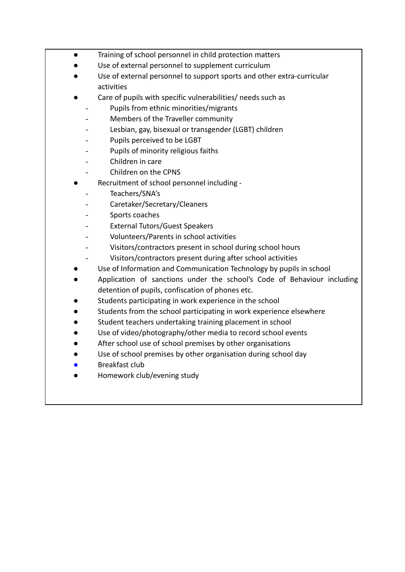- Training of school personnel in child protection matters
- Use of external personnel to supplement curriculum
- Use of external personnel to support sports and other extra-curricular activities
- Care of pupils with specific vulnerabilities/ needs such as
	- Pupils from ethnic minorities/migrants
	- Members of the Traveller community
	- Lesbian, gay, bisexual or transgender (LGBT) children
	- Pupils perceived to be LGBT
	- Pupils of minority religious faiths
	- Children in care
	- Children on the CPNS
- Recruitment of school personnel including -
	- Teachers/SNA's
	- Caretaker/Secretary/Cleaners
	- Sports coaches
	- External Tutors/Guest Speakers
	- Volunteers/Parents in school activities
	- Visitors/contractors present in school during school hours
	- Visitors/contractors present during after school activities
- Use of Information and Communication Technology by pupils in school
- Application of sanctions under the school's Code of Behaviour including detention of pupils, confiscation of phones etc.
- Students participating in work experience in the school
- Students from the school participating in work experience elsewhere
- Student teachers undertaking training placement in school
- Use of video/photography/other media to record school events
- After school use of school premises by other organisations
- Use of school premises by other organisation during school day
- Breakfast club
- Homework club/evening study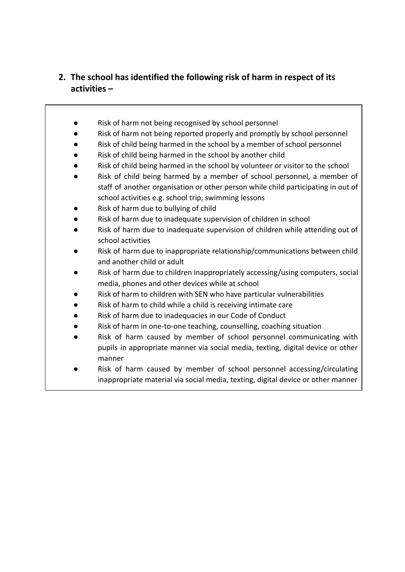## **2. The school has identified the following risk of harm in respect of its activities –**

- Risk of harm not being recognised by school personnel
- Risk of harm not being reported properly and promptly by school personnel
- Risk of child being harmed in the school by a member of school personnel
- Risk of child being harmed in the school by another child
- Risk of child being harmed in the school by volunteer or visitor to the school
- Risk of child being harmed by a member of school personnel, a member of staff of another organisation or other person while child participating in out of school activities e.g. school trip, swimming lessons
- Risk of harm due to bullying of child
- Risk of harm due to inadequate supervision of children in school
- Risk of harm due to inadequate supervision of children while attending out of school activities
- Risk of harm due to inappropriate relationship/communications between child and another child or adult
- Risk of harm due to children inappropriately accessing/using computers, social media, phones and other devices while at school
- Risk of harm to children with SEN who have particular vulnerabilities
- Risk of harm to child while a child is receiving intimate care
- Risk of harm due to inadequacies in our Code of Conduct
- Risk of harm in one-to-one teaching, counselling, coaching situation
- Risk of harm caused by member of school personnel communicating with pupils in appropriate manner via social media, texting, digital device or other manner
- Risk of harm caused by member of school personnel accessing/circulating inappropriate material via social media, texting, digital device or other manner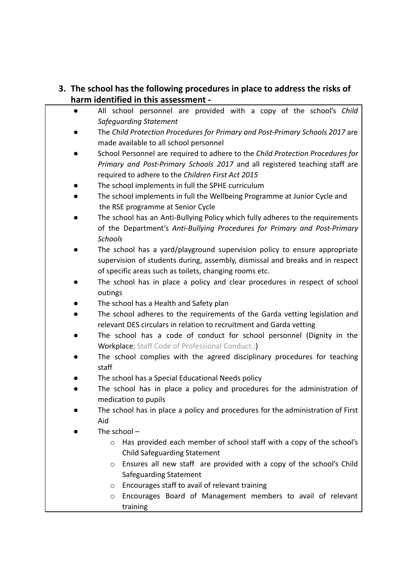- **3. The school has the following procedures in place to address the risks of harm identified in this assessment -**
	- *●* All school personnel are provided with a copy of the school's *Child Safeguarding Statement* ● The *Child Protection Procedures for Primary and Post-Primary Schools 2017* are made available to all school personnel ● School Personnel are required to adhere to the *Child Protection Procedures for Primary and Post-Primary Schools 2017* and all registered teaching staff are required to adhere to the *Children First Act 2015* The school implements in full the SPHE curriculum The school implements in full the Wellbeing Programme at Junior Cycle and the RSE programme at Senior Cycle The school has an Anti-Bullying Policy which fully adheres to the requirements of the Department's *Anti-Bullying Procedures for Primary and Post-Primary Schools* The school has a yard/playground supervision policy to ensure appropriate supervision of students during, assembly, dismissal and breaks and in respect of specific areas such as toilets, changing rooms etc. The school has in place a policy and clear procedures in respect of school outings The school has a Health and Safety plan The school adheres to the requirements of the Garda vetting legislation and relevant DES circulars in relation to recruitment and Garda vetting The school has a code of conduct for school personnel (Dignity in the Workplace; Staff Code of Professional Conduct.;) The school complies with the agreed disciplinary procedures for teaching staff The school has a Special Educational Needs policy The school has in place a policy and procedures for the administration of medication to pupils The school has in place a policy and procedures for the administration of First Aid The school  $$ o Has provided each member of school staff with a copy of the school's Child Safeguarding Statement o Ensures all new staff are provided with a copy of the school's Child Safeguarding Statement
		- o Encourages staff to avail of relevant training
		- o Encourages Board of Management members to avail of relevant training